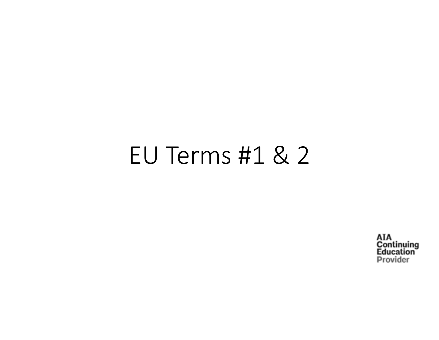## EU Terms #1 & 2

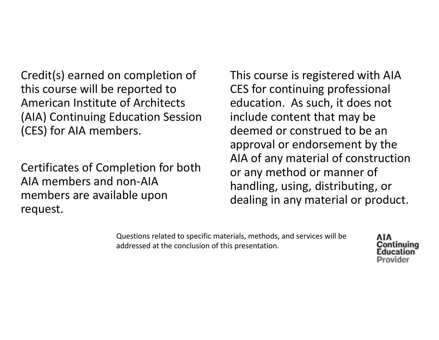Credit(s) earned on completion of this course will be reported to American Institute of Architects (AIA) Continuing Education Session (CES) for AIA members.

Certificates of Completion for both AIA members and non‐AIA members are available upon request.

This course is registered with AIA CES for continuing professional education. As such, it does not include content that may be deemed or construed to be an approval or endorsement by the AIA of any material of construction or any method or manner of handling, using, distributing, or dealing in any material or product.

Questions related to specific materials, methods, and services will be addressed at the conclusion of this presentation.

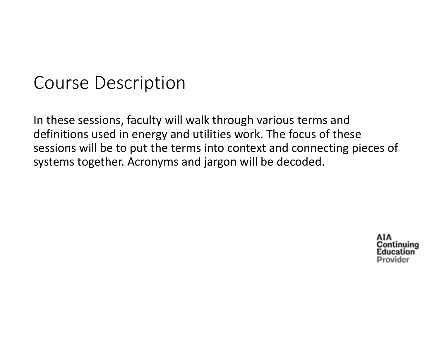## Course Description

In these sessions, faculty will walk through various terms and definitions used in energy and utilities work. The focus of these sessions will be to put the terms into context and connecting pieces of systems together. Acronyms and jargon will be decoded.

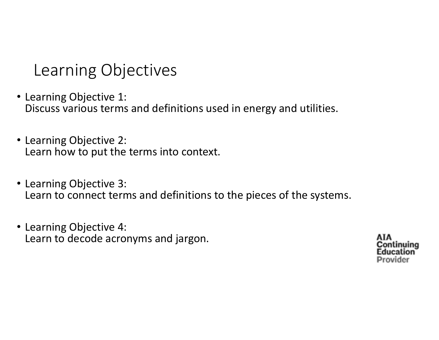Learning Objectives

- Learning Objective 1: Discuss various terms and definitions used in energy and utilities.
- Learning Objective 2: Learn how to put the terms into context.
- Learning Objective 3: Learn to connect terms and definitions to the pieces of the systems.
- Learning Objective 4: Learn to decode acronyms and jargon.

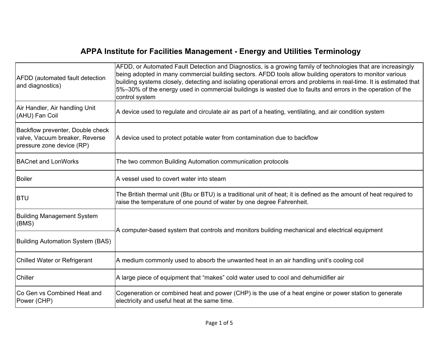## **APPA Institute for Facilities Management - Energy and Utilities Terminology**

| <b>AFDD</b> (automated fault detection<br>and diagnostics)                                      | AFDD, or Automated Fault Detection and Diagnostics, is a growing family of technologies that are increasingly<br>being adopted in many commercial building sectors. AFDD tools allow building operators to monitor various<br>building systems closely, detecting and isolating operational errors and problems in real-time. It is estimated that<br>5%-30% of the energy used in commercial buildings is wasted due to faults and errors in the operation of the<br>control system |
|-------------------------------------------------------------------------------------------------|--------------------------------------------------------------------------------------------------------------------------------------------------------------------------------------------------------------------------------------------------------------------------------------------------------------------------------------------------------------------------------------------------------------------------------------------------------------------------------------|
| Air Handler, Air handling Unit<br>(AHU) Fan Coil                                                | A device used to regulate and circulate air as part of a heating, ventilating, and air condition system                                                                                                                                                                                                                                                                                                                                                                              |
| Backflow preventer, Double check<br>valve, Vacuum breaker, Reverse<br>pressure zone device (RP) | A device used to protect potable water from contamination due to backflow                                                                                                                                                                                                                                                                                                                                                                                                            |
| <b>BACnet and LonWorks</b>                                                                      | The two common Building Automation communication protocols                                                                                                                                                                                                                                                                                                                                                                                                                           |
| <b>Boiler</b>                                                                                   | A vessel used to covert water into steam                                                                                                                                                                                                                                                                                                                                                                                                                                             |
| <b>BTU</b>                                                                                      | The British thermal unit (Btu or BTU) is a traditional unit of heat; it is defined as the amount of heat required to<br>raise the temperature of one pound of water by one degree Fahrenheit.                                                                                                                                                                                                                                                                                        |
| <b>Building Management System</b><br>(BMS)                                                      | A computer-based system that controls and monitors building mechanical and electrical equipment                                                                                                                                                                                                                                                                                                                                                                                      |
| <b>Building Automation System (BAS)</b>                                                         |                                                                                                                                                                                                                                                                                                                                                                                                                                                                                      |
| <b>Chilled Water or Refrigerant</b>                                                             | A medium commonly used to absorb the unwanted heat in an air handling unit's cooling coil                                                                                                                                                                                                                                                                                                                                                                                            |
| Chiller                                                                                         | A large piece of equipment that "makes" cold water used to cool and dehumidifier air                                                                                                                                                                                                                                                                                                                                                                                                 |
| Co Gen vs Combined Heat and<br>Power (CHP)                                                      | Cogeneration or combined heat and power (CHP) is the use of a heat engine or power station to generate<br>electricity and useful heat at the same time.                                                                                                                                                                                                                                                                                                                              |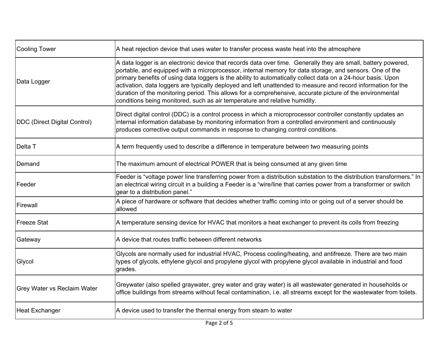| <b>Cooling Tower</b>               | A heat rejection device that uses water to transfer process waste heat into the atmosphere                                                                                                                                                                                                                                                                                                                                                                                                                                                                                                                                                           |
|------------------------------------|------------------------------------------------------------------------------------------------------------------------------------------------------------------------------------------------------------------------------------------------------------------------------------------------------------------------------------------------------------------------------------------------------------------------------------------------------------------------------------------------------------------------------------------------------------------------------------------------------------------------------------------------------|
| Data Logger                        | A data logger is an electronic device that records data over time. Generally they are small, battery powered,<br>portable, and equipped with a microprocessor, internal memory for data storage, and sensors. One of the<br>primary benefits of using data loggers is the ability to automatically collect data on a 24-hour basis. Upon<br>activation, data loggers are typically deployed and left unattended to measure and record information for the<br>duration of the monitoring period. This allows for a comprehensive, accurate picture of the environmental<br>conditions being monitored, such as air temperature and relative humidity. |
| DDC (Direct Digital Control)       | Direct digital control (DDC) is a control process in which a microprocessor controller constantly updates an<br>internal information database by monitoring information from a controlled environment and continuously<br>produces corrective output commands in response to changing control conditions.                                                                                                                                                                                                                                                                                                                                            |
| Delta T                            | A term frequently used to describe a difference in temperature between two measuring points                                                                                                                                                                                                                                                                                                                                                                                                                                                                                                                                                          |
| Demand                             | The maximum amount of electrical POWER that is being consumed at any given time                                                                                                                                                                                                                                                                                                                                                                                                                                                                                                                                                                      |
| Feeder                             | Feeder is "voltage power line transferring power from a distribution substation to the distribution transformers." In<br>an electrical wiring circuit in a building a Feeder is a "wire/line that carries power from a transformer or switch<br>gear to a distribution panel."                                                                                                                                                                                                                                                                                                                                                                       |
| Firewall                           | A piece of hardware or software that decides whether traffic coming into or going out of a server should be<br>allowed                                                                                                                                                                                                                                                                                                                                                                                                                                                                                                                               |
| Freeze Stat                        | A temperature sensing device for HVAC that monitors a heat exchanger to prevent its coils from freezing                                                                                                                                                                                                                                                                                                                                                                                                                                                                                                                                              |
| Gateway                            | A device that routes traffic between different networks                                                                                                                                                                                                                                                                                                                                                                                                                                                                                                                                                                                              |
| Glycol                             | Glycols are normally used for industrial HVAC, Process cooling/heating, and antifreeze. There are two main<br>types of glycols, ethylene glycol and propylene glycol with propylene glycol available in industrial and food<br>grades.                                                                                                                                                                                                                                                                                                                                                                                                               |
| <b>Grey Water vs Reclaim Water</b> | Greywater (also spelled graywater, grey water and gray water) is all wastewater generated in households or<br>office buildings from streams without fecal contamination, i.e. all streams except for the wastewater from toilets.                                                                                                                                                                                                                                                                                                                                                                                                                    |
| <b>Heat Exchanger</b>              | A device used to transfer the thermal energy from steam to water                                                                                                                                                                                                                                                                                                                                                                                                                                                                                                                                                                                     |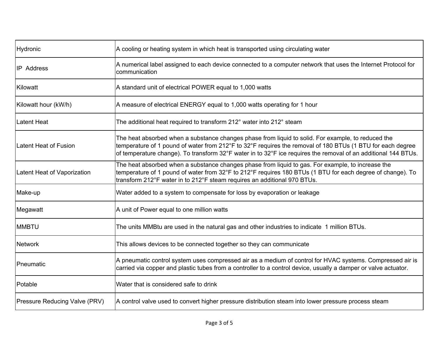| Hydronic                             | A cooling or heating system in which heat is transported using circulating water                                                                                                                                                                                                                                                   |
|--------------------------------------|------------------------------------------------------------------------------------------------------------------------------------------------------------------------------------------------------------------------------------------------------------------------------------------------------------------------------------|
| <b>IP</b> Address                    | A numerical label assigned to each device connected to a computer network that uses the Internet Protocol for<br>communication                                                                                                                                                                                                     |
| Kilowatt                             | A standard unit of electrical POWER equal to 1,000 watts                                                                                                                                                                                                                                                                           |
| Kilowatt hour (kW/h)                 | A measure of electrical ENERGY equal to 1,000 watts operating for 1 hour                                                                                                                                                                                                                                                           |
| Latent Heat                          | The additional heat required to transform 212° water into 212° steam                                                                                                                                                                                                                                                               |
| Latent Heat of Fusion                | The heat absorbed when a substance changes phase from liquid to solid. For example, to reduced the<br>temperature of 1 pound of water from 212°F to 32°F requires the removal of 180 BTUs (1 BTU for each degree<br>of temperature change). To transform 32°F water in to 32°F ice requires the removal of an additional 144 BTUs. |
| Latent Heat of Vaporization          | The heat absorbed when a substance changes phase from liquid to gas. For example, to increase the<br>temperature of 1 pound of water from 32°F to 212°F requires 180 BTUs (1 BTU for each degree of change). To<br>transform 212°F water in to 212°F steam requires an additional 970 BTUs.                                        |
| Make-up                              | Water added to a system to compensate for loss by evaporation or leakage                                                                                                                                                                                                                                                           |
| Megawatt                             | A unit of Power equal to one million watts                                                                                                                                                                                                                                                                                         |
| <b>MMBTU</b>                         | The units MMBtu are used in the natural gas and other industries to indicate 1 million BTUs.                                                                                                                                                                                                                                       |
| <b>Network</b>                       | This allows devices to be connected together so they can communicate                                                                                                                                                                                                                                                               |
| Pneumatic                            | A pneumatic control system uses compressed air as a medium of control for HVAC systems. Compressed air is<br>carried via copper and plastic tubes from a controller to a control device, usually a damper or valve actuator.                                                                                                       |
| Potable                              | Water that is considered safe to drink                                                                                                                                                                                                                                                                                             |
| <b>Pressure Reducing Valve (PRV)</b> | A control valve used to convert higher pressure distribution steam into lower pressure process steam                                                                                                                                                                                                                               |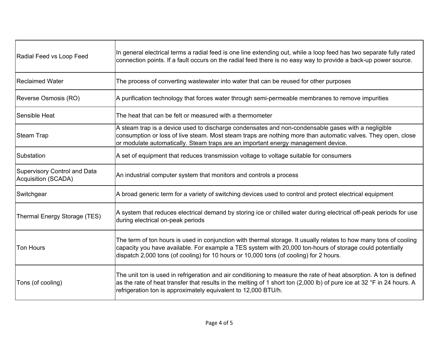| Radial Feed vs Loop Feed                                   | In general electrical terms a radial feed is one line extending out, while a loop feed has two separate fully rated<br>connection points. If a fault occurs on the radial feed there is no easy way to provide a back-up power source.                                                                                  |
|------------------------------------------------------------|-------------------------------------------------------------------------------------------------------------------------------------------------------------------------------------------------------------------------------------------------------------------------------------------------------------------------|
| Reclaimed Water                                            | The process of converting wastewater into water that can be reused for other purposes                                                                                                                                                                                                                                   |
| Reverse Osmosis (RO)                                       | A purification technology that forces water through semi-permeable membranes to remove impurities                                                                                                                                                                                                                       |
| <b>Sensible Heat</b>                                       | The heat that can be felt or measured with a thermometer                                                                                                                                                                                                                                                                |
| Steam Trap                                                 | A steam trap is a device used to discharge condensates and non-condensable gases with a negligible<br>consumption or loss of live steam. Most steam traps are nothing more than automatic valves. They open, close<br>or modulate automatically. Steam traps are an important energy management device.                 |
| Substation                                                 | A set of equipment that reduces transmission voltage to voltage suitable for consumers                                                                                                                                                                                                                                  |
| <b>Supervisory Control and Data</b><br>Acquisition (SCADA) | An industrial computer system that monitors and controls a process                                                                                                                                                                                                                                                      |
| Switchgear                                                 | A broad generic term for a variety of switching devices used to control and protect electrical equipment                                                                                                                                                                                                                |
| Thermal Energy Storage (TES)                               | A system that reduces electrical demand by storing ice or chilled water during electrical off-peak periods for use<br>during electrical on-peak periods                                                                                                                                                                 |
| <b>Ton Hours</b>                                           | The term of ton hours is used in conjunction with thermal storage. It usually relates to how many tons of cooling<br>capacity you have available. For example a TES system with 20,000 ton-hours of storage could potentially<br>dispatch 2,000 tons (of cooling) for 10 hours or 10,000 tons (of cooling) for 2 hours. |
| Tons (of cooling)                                          | The unit ton is used in refrigeration and air conditioning to measure the rate of heat absorption. A ton is defined<br>as the rate of heat transfer that results in the melting of 1 short ton (2,000 lb) of pure ice at 32 °F in 24 hours. A<br>refrigeration ton is approximately equivalent to 12,000 BTU/h.         |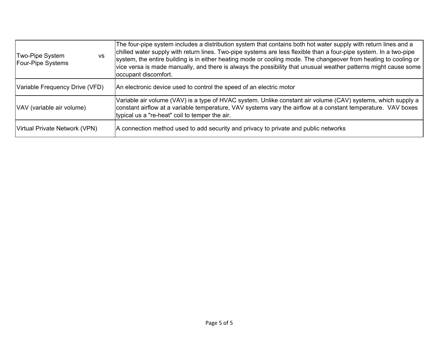| Two-Pipe System<br><b>VS</b><br><b>Four-Pipe Systems</b> | The four-pipe system includes a distribution system that contains both hot water supply with return lines and a<br>chilled water supply with return lines. Two-pipe systems are less flexible than a four-pipe system. In a two-pipe<br>system, the entire building is in either heating mode or cooling mode. The changeover from heating to cooling or<br>vice versa is made manually, and there is always the possibility that unusual weather patterns might cause some<br>occupant discomfort. |
|----------------------------------------------------------|-----------------------------------------------------------------------------------------------------------------------------------------------------------------------------------------------------------------------------------------------------------------------------------------------------------------------------------------------------------------------------------------------------------------------------------------------------------------------------------------------------|
| Variable Frequency Drive (VFD)                           | An electronic device used to control the speed of an electric motor                                                                                                                                                                                                                                                                                                                                                                                                                                 |
| VAV (variable air volume)                                | Variable air volume (VAV) is a type of HVAC system. Unlike constant air volume (CAV) systems, which supply a<br>constant airflow at a variable temperature, VAV systems vary the airflow at a constant temperature. VAV boxes<br>typical us a "re-heat" coil to temper the air.                                                                                                                                                                                                                     |
| Virtual Private Network (VPN)                            | A connection method used to add security and privacy to private and public networks                                                                                                                                                                                                                                                                                                                                                                                                                 |